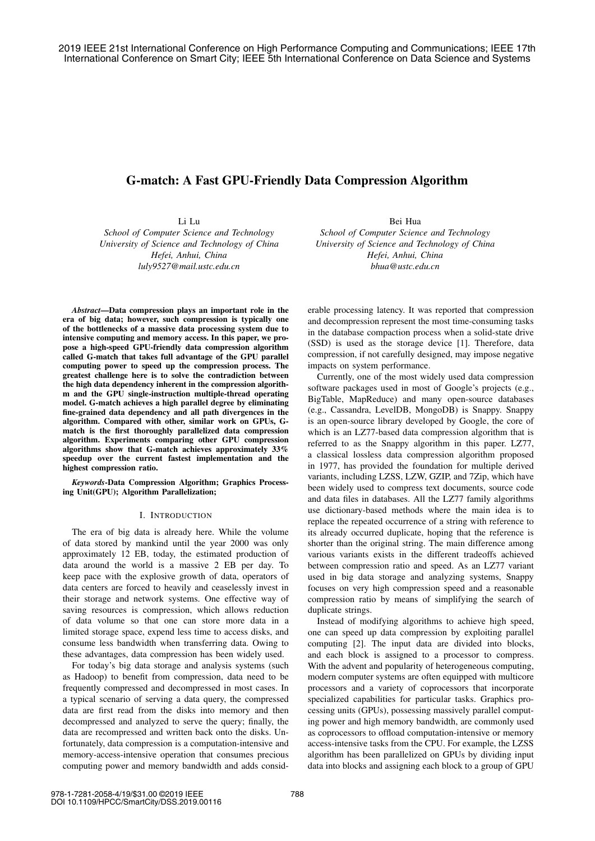# G-match: A Fast GPU-Friendly Data Compression Algorithm

Li Lu

*School of Computer Science and Technology University of Science and Technology of China Hefei, Anhui, China luly9527@mail.ustc.edu.cn*

*Abstract*—Data compression plays an important role in the era of big data; however, such compression is typically one of the bottlenecks of a massive data processing system due to intensive computing and memory access. In this paper, we propose a high-speed GPU-friendly data compression algorithm called G-match that takes full advantage of the GPU parallel computing power to speed up the compression process. The greatest challenge here is to solve the contradiction between the high data dependency inherent in the compression algorithm and the GPU single-instruction multiple-thread operating model. G-match achieves a high parallel degree by eliminating fine-grained data dependency and all path divergences in the algorithm. Compared with other, similar work on GPUs, Gmatch is the first thoroughly parallelized data compression algorithm. Experiments comparing other GPU compression algorithms show that G-match achieves approximately 33% speedup over the current fastest implementation and the highest compression ratio.

*Keywords*-Data Compression Algorithm; Graphics Processing Unit(GPU); Algorithm Parallelization;

### I. INTRODUCTION

The era of big data is already here. While the volume of data stored by mankind until the year 2000 was only approximately 12 EB, today, the estimated production of data around the world is a massive 2 EB per day. To keep pace with the explosive growth of data, operators of data centers are forced to heavily and ceaselessly invest in their storage and network systems. One effective way of saving resources is compression, which allows reduction of data volume so that one can store more data in a limited storage space, expend less time to access disks, and consume less bandwidth when transferring data. Owing to these advantages, data compression has been widely used.

For today's big data storage and analysis systems (such as Hadoop) to benefit from compression, data need to be frequently compressed and decompressed in most cases. In a typical scenario of serving a data query, the compressed data are first read from the disks into memory and then decompressed and analyzed to serve the query; finally, the data are recompressed and written back onto the disks. Unfortunately, data compression is a computation-intensive and memory-access-intensive operation that consumes precious computing power and memory bandwidth and adds consid-

Bei Hua *School of Computer Science and Technology University of Science and Technology of China Hefei, Anhui, China bhua@ustc.edu.cn*

erable processing latency. It was reported that compression and decompression represent the most time-consuming tasks in the database compaction process when a solid-state drive (SSD) is used as the storage device [1]. Therefore, data compression, if not carefully designed, may impose negative impacts on system performance.

Currently, one of the most widely used data compression software packages used in most of Google's projects (e.g., BigTable, MapReduce) and many open-source databases (e.g., Cassandra, LevelDB, MongoDB) is Snappy. Snappy is an open-source library developed by Google, the core of which is an LZ77-based data compression algorithm that is referred to as the Snappy algorithm in this paper. LZ77, a classical lossless data compression algorithm proposed in 1977, has provided the foundation for multiple derived variants, including LZSS, LZW, GZIP, and 7Zip, which have been widely used to compress text documents, source code and data files in databases. All the LZ77 family algorithms use dictionary-based methods where the main idea is to replace the repeated occurrence of a string with reference to its already occurred duplicate, hoping that the reference is shorter than the original string. The main difference among various variants exists in the different tradeoffs achieved between compression ratio and speed. As an LZ77 variant used in big data storage and analyzing systems, Snappy focuses on very high compression speed and a reasonable compression ratio by means of simplifying the search of duplicate strings.

Instead of modifying algorithms to achieve high speed, one can speed up data compression by exploiting parallel computing [2]. The input data are divided into blocks, and each block is assigned to a processor to compress. With the advent and popularity of heterogeneous computing, modern computer systems are often equipped with multicore processors and a variety of coprocessors that incorporate specialized capabilities for particular tasks. Graphics processing units (GPUs), possessing massively parallel computing power and high memory bandwidth, are commonly used as coprocessors to offload computation-intensive or memory access-intensive tasks from the CPU. For example, the LZSS algorithm has been parallelized on GPUs by dividing input data into blocks and assigning each block to a group of GPU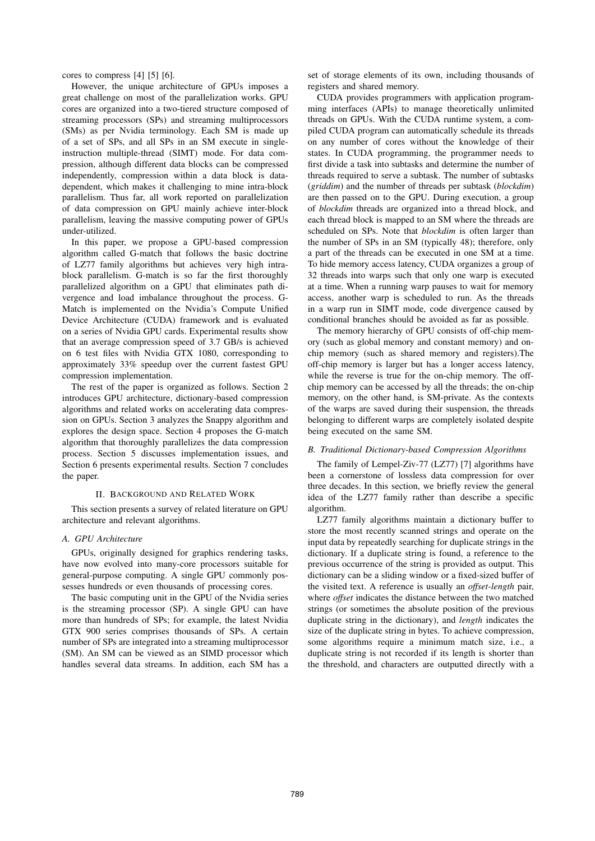cores to compress [4] [5] [6].

However, the unique architecture of GPUs imposes a great challenge on most of the parallelization works. GPU cores are organized into a two-tiered structure composed of streaming processors (SPs) and streaming multiprocessors (SMs) as per Nvidia terminology. Each SM is made up of a set of SPs, and all SPs in an SM execute in singleinstruction multiple-thread (SIMT) mode. For data compression, although different data blocks can be compressed independently, compression within a data block is datadependent, which makes it challenging to mine intra-block parallelism. Thus far, all work reported on parallelization of data compression on GPU mainly achieve inter-block parallelism, leaving the massive computing power of GPUs under-utilized.

In this paper, we propose a GPU-based compression algorithm called G-match that follows the basic doctrine of LZ77 family algorithms but achieves very high intrablock parallelism. G-match is so far the first thoroughly parallelized algorithm on a GPU that eliminates path divergence and load imbalance throughout the process. G-Match is implemented on the Nvidia's Compute Unified Device Architecture (CUDA) framework and is evaluated on a series of Nvidia GPU cards. Experimental results show that an average compression speed of 3.7 GB/s is achieved on 6 test files with Nvidia GTX 1080, corresponding to approximately 33% speedup over the current fastest GPU compression implementation.

The rest of the paper is organized as follows. Section 2 introduces GPU architecture, dictionary-based compression algorithms and related works on accelerating data compression on GPUs. Section 3 analyzes the Snappy algorithm and explores the design space. Section 4 proposes the G-match algorithm that thoroughly parallelizes the data compression process. Section 5 discusses implementation issues, and Section 6 presents experimental results. Section 7 concludes the paper.

### II. BACKGROUND AND RELATED WORK

This section presents a survey of related literature on GPU architecture and relevant algorithms.

### *A. GPU Architecture*

GPUs, originally designed for graphics rendering tasks, have now evolved into many-core processors suitable for general-purpose computing. A single GPU commonly possesses hundreds or even thousands of processing cores.

The basic computing unit in the GPU of the Nvidia series is the streaming processor (SP). A single GPU can have more than hundreds of SPs; for example, the latest Nvidia GTX 900 series comprises thousands of SPs. A certain number of SPs are integrated into a streaming multiprocessor (SM). An SM can be viewed as an SIMD processor which handles several data streams. In addition, each SM has a

set of storage elements of its own, including thousands of registers and shared memory.

CUDA provides programmers with application programming interfaces (APIs) to manage theoretically unlimited threads on GPUs. With the CUDA runtime system, a compiled CUDA program can automatically schedule its threads on any number of cores without the knowledge of their states. In CUDA programming, the programmer needs to first divide a task into subtasks and determine the number of threads required to serve a subtask. The number of subtasks (*griddim*) and the number of threads per subtask (*blockdim*) are then passed on to the GPU. During execution, a group of *blockdim* threads are organized into a thread block, and each thread block is mapped to an SM where the threads are scheduled on SPs. Note that *blockdim* is often larger than the number of SPs in an SM (typically 48); therefore, only a part of the threads can be executed in one SM at a time. To hide memory access latency, CUDA organizes a group of 32 threads into warps such that only one warp is executed at a time. When a running warp pauses to wait for memory access, another warp is scheduled to run. As the threads in a warp run in SIMT mode, code divergence caused by conditional branches should be avoided as far as possible.

The memory hierarchy of GPU consists of off-chip memory (such as global memory and constant memory) and onchip memory (such as shared memory and registers).The off-chip memory is larger but has a longer access latency, while the reverse is true for the on-chip memory. The offchip memory can be accessed by all the threads; the on-chip memory, on the other hand, is SM-private. As the contexts of the warps are saved during their suspension, the threads belonging to different warps are completely isolated despite being executed on the same SM.

### *B. Traditional Dictionary-based Compression Algorithms*

The family of Lempel-Ziv-77 (LZ77) [7] algorithms have been a cornerstone of lossless data compression for over three decades. In this section, we briefly review the general idea of the LZ77 family rather than describe a specific algorithm.

LZ77 family algorithms maintain a dictionary buffer to store the most recently scanned strings and operate on the input data by repeatedly searching for duplicate strings in the dictionary. If a duplicate string is found, a reference to the previous occurrence of the string is provided as output. This dictionary can be a sliding window or a fixed-sized buffer of the visited text. A reference is usually an *offset-length* pair, where *offset* indicates the distance between the two matched strings (or sometimes the absolute position of the previous duplicate string in the dictionary), and *length* indicates the size of the duplicate string in bytes. To achieve compression, some algorithms require a minimum match size, i.e., a duplicate string is not recorded if its length is shorter than the threshold, and characters are outputted directly with a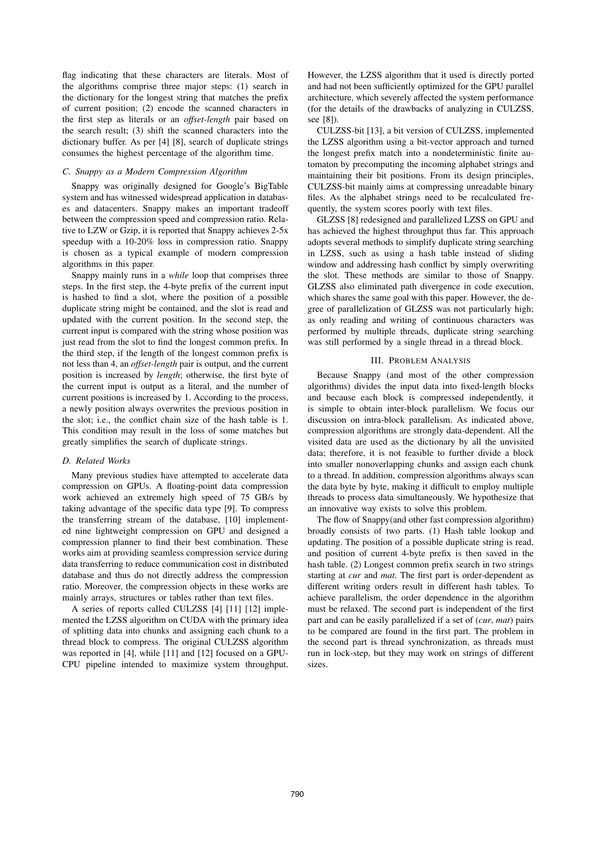flag indicating that these characters are literals. Most of the algorithms comprise three major steps: (1) search in the dictionary for the longest string that matches the prefix of current position; (2) encode the scanned characters in the first step as literals or an *offset-length* pair based on the search result; (3) shift the scanned characters into the dictionary buffer. As per [4] [8], search of duplicate strings consumes the highest percentage of the algorithm time.

# *C. Snappy as a Modern Compression Algorithm*

Snappy was originally designed for Google's BigTable system and has witnessed widespread application in databases and datacenters. Snappy makes an important tradeoff between the compression speed and compression ratio. Relative to LZW or Gzip, it is reported that Snappy achieves 2-5x speedup with a 10-20% loss in compression ratio. Snappy is chosen as a typical example of modern compression algorithms in this paper.

Snappy mainly runs in a *while* loop that comprises three steps. In the first step, the 4-byte prefix of the current input is hashed to find a slot, where the position of a possible duplicate string might be contained, and the slot is read and updated with the current position. In the second step, the current input is compared with the string whose position was just read from the slot to find the longest common prefix. In the third step, if the length of the longest common prefix is not less than 4, an *offset-length* pair is output, and the current position is increased by *length*; otherwise, the first byte of the current input is output as a literal, and the number of current positions is increased by 1. According to the process, a newly position always overwrites the previous position in the slot; i.e., the conflict chain size of the hash table is 1. This condition may result in the loss of some matches but greatly simplifies the search of duplicate strings.

### *D. Related Works*

Many previous studies have attempted to accelerate data compression on GPUs. A floating-point data compression work achieved an extremely high speed of 75 GB/s by taking advantage of the specific data type [9]. To compress the transferring stream of the database, [10] implemented nine lightweight compression on GPU and designed a compression planner to find their best combination. These works aim at providing seamless compression service during data transferring to reduce communication cost in distributed database and thus do not directly address the compression ratio. Moreover, the compression objects in these works are mainly arrays, structures or tables rather than text files.

A series of reports called CULZSS [4] [11] [12] implemented the LZSS algorithm on CUDA with the primary idea of splitting data into chunks and assigning each chunk to a thread block to compress. The original CULZSS algorithm was reported in [4], while [11] and [12] focused on a GPU-CPU pipeline intended to maximize system throughput.

However, the LZSS algorithm that it used is directly ported and had not been sufficiently optimized for the GPU parallel architecture, which severely affected the system performance (for the details of the drawbacks of analyzing in CULZSS, see [8]).

CULZSS-bit [13], a bit version of CULZSS, implemented the LZSS algorithm using a bit-vector approach and turned the longest prefix match into a nondeterministic finite automaton by precomputing the incoming alphabet strings and maintaining their bit positions. From its design principles, CULZSS-bit mainly aims at compressing unreadable binary files. As the alphabet strings need to be recalculated frequently, the system scores poorly with text files.

GLZSS [8] redesigned and parallelized LZSS on GPU and has achieved the highest throughput thus far. This approach adopts several methods to simplify duplicate string searching in LZSS, such as using a hash table instead of sliding window and addressing hash conflict by simply overwriting the slot. These methods are similar to those of Snappy. GLZSS also eliminated path divergence in code execution, which shares the same goal with this paper. However, the degree of parallelization of GLZSS was not particularly high; as only reading and writing of continuous characters was performed by multiple threads, duplicate string searching was still performed by a single thread in a thread block.

### III. PROBLEM ANALYSIS

Because Snappy (and most of the other compression algorithms) divides the input data into fixed-length blocks and because each block is compressed independently, it is simple to obtain inter-block parallelism. We focus our discussion on intra-block parallelism. As indicated above, compression algorithms are strongly data-dependent. All the visited data are used as the dictionary by all the unvisited data; therefore, it is not feasible to further divide a block into smaller nonoverlapping chunks and assign each chunk to a thread. In addition, compression algorithms always scan the data byte by byte, making it difficult to employ multiple threads to process data simultaneously. We hypothesize that an innovative way exists to solve this problem.

The flow of Snappy(and other fast compression algorithm) broadly consists of two parts. (1) Hash table lookup and updating. The position of a possible duplicate string is read, and position of current 4-byte prefix is then saved in the hash table. (2) Longest common prefix search in two strings starting at *cur* and *mat*. The first part is order-dependent as different writing orders result in different hash tables. To achieve parallelism, the order dependence in the algorithm must be relaxed. The second part is independent of the first part and can be easily parallelized if a set of (*cur*, *mat*) pairs to be compared are found in the first part. The problem in the second part is thread synchronization, as threads must run in lock-step, but they may work on strings of different sizes.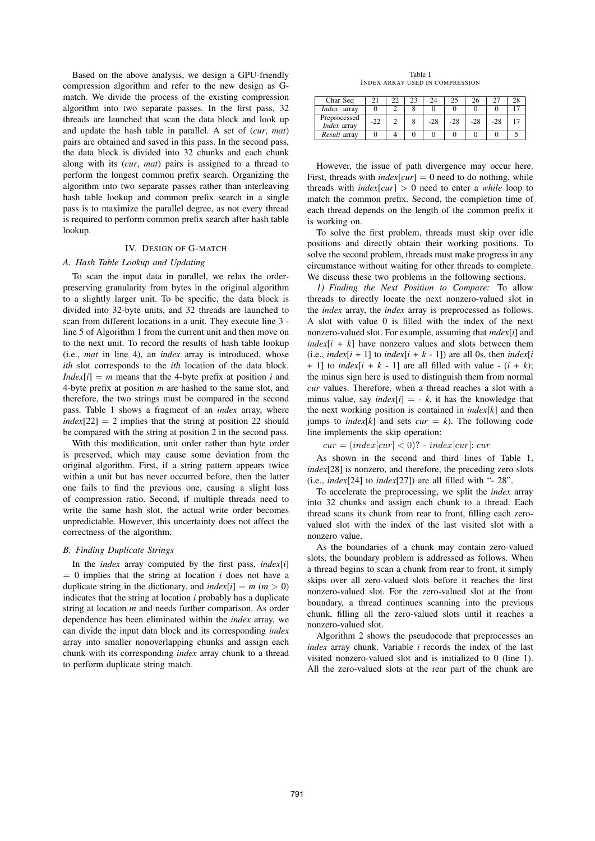Based on the above analysis, we design a GPU-friendly compression algorithm and refer to the new design as Gmatch. We divide the process of the existing compression algorithm into two separate passes. In the first pass, 32 threads are launched that scan the data block and look up and update the hash table in parallel. A set of (*cur*, *mat*) pairs are obtained and saved in this pass. In the second pass, the data block is divided into 32 chunks and each chunk along with its (*cur*, *mat*) pairs is assigned to a thread to perform the longest common prefix search. Organizing the algorithm into two separate passes rather than interleaving hash table lookup and common prefix search in a single pass is to maximize the parallel degree, as not every thread is required to perform common prefix search after hash table lookup.

# IV. DESIGN OF G-MATCH

# *A. Hash Table Lookup and Updating*

To scan the input data in parallel, we relax the orderpreserving granularity from bytes in the original algorithm to a slightly larger unit. To be specific, the data block is divided into 32-byte units, and 32 threads are launched to scan from different locations in a unit. They execute line 3 line 5 of Algorithm 1 from the current unit and then move on to the next unit. To record the results of hash table lookup (i.e., *mat* in line 4), an *index* array is introduced, whose *ith* slot corresponds to the *ith* location of the data block. *Index*[ $i$ ] = *m* means that the 4-byte prefix at position *i* and 4-byte prefix at position *m* are hashed to the same slot, and therefore, the two strings must be compared in the second pass. Table 1 shows a fragment of an *index* array, where  $index[22] = 2$  implies that the string at position 22 should be compared with the string at position 2 in the second pass.

With this modification, unit order rather than byte order is preserved, which may cause some deviation from the original algorithm. First, if a string pattern appears twice within a unit but has never occurred before, then the latter one fails to find the previous one, causing a slight loss of compression ratio. Second, if multiple threads need to write the same hash slot, the actual write order becomes unpredictable. However, this uncertainty does not affect the correctness of the algorithm.

### *B. Finding Duplicate Strings*

In the *index* array computed by the first pass, *index*[*i*]  $= 0$  implies that the string at location *i* does not have a duplicate string in the dictionary, and  $index[i] = m (m > 0)$ indicates that the string at location *i* probably has a duplicate string at location *m* and needs further comparison. As order dependence has been eliminated within the *index* array, we can divide the input data block and its corresponding *index* array into smaller nonoverlapping chunks and assign each chunk with its corresponding *index* array chunk to a thread to perform duplicate string match.

Table I INDEX ARRAY USED IN COMPRESSION

| Char Seq                           |       |  | 24    |       |       | דר |  |
|------------------------------------|-------|--|-------|-------|-------|----|--|
| <i>Index</i> array                 |       |  |       |       |       |    |  |
| Preprocessed<br><i>Index</i> array | $-22$ |  | $-28$ | $-28$ | $-28$ |    |  |
| Result array                       |       |  |       |       |       |    |  |

However, the issue of path divergence may occur here. First, threads with *index*[ $\text{curl} = 0$  need to do nothing, while threads with  $index[cur] > 0$  need to enter a *while* loop to match the common prefix. Second, the completion time of each thread depends on the length of the common prefix it is working on.

To solve the first problem, threads must skip over idle positions and directly obtain their working positions. To solve the second problem, threads must make progress in any circumstance without waiting for other threads to complete. We discuss these two problems in the following sections.

*1) Finding the Next Position to Compare:* To allow threads to directly locate the next nonzero-valued slot in the *index* array, the *index* array is preprocessed as follows. A slot with value 0 is filled with the index of the next nonzero-valued slot. For example, assuming that *index*[*i*] and  $index[i + k]$  have nonzero values and slots between them (i.e.,  $index[i + 1]$  to  $index[i + k - 1]$ ) are all 0s, then  $index[i]$ + 1] to *index*[ $i + k - 1$ ] are all filled with value -  $(i + k)$ ; the minus sign here is used to distinguish them from normal *cur* values. Therefore, when a thread reaches a slot with a minus value, say *index*[*i*] = - *k*, it has the knowledge that the next working position is contained in *index*[*k*] and then jumps to *index*[ $k$ ] and sets *cur* =  $k$ ). The following code line implements the skip operation:

 $cur = (index[cur] < 0$ ? -  $index[cur]$ : cur

As shown in the second and third lines of Table 1, *index*[28] is nonzero, and therefore, the preceding zero slots (i.e., *index*[24] to *index*[27]) are all filled with "- 28".

To accelerate the preprocessing, we split the *index* array into 32 chunks and assign each chunk to a thread. Each thread scans its chunk from rear to front, filling each zerovalued slot with the index of the last visited slot with a nonzero value.

As the boundaries of a chunk may contain zero-valued slots, the boundary problem is addressed as follows. When a thread begins to scan a chunk from rear to front, it simply skips over all zero-valued slots before it reaches the first nonzero-valued slot. For the zero-valued slot at the front boundary, a thread continues scanning into the previous chunk, filling all the zero-valued slots until it reaches a nonzero-valued slot.

Algorithm 2 shows the pseudocode that preprocesses an *index* array chunk. Variable *i* records the index of the last visited nonzero-valued slot and is initialized to 0 (line 1). All the zero-valued slots at the rear part of the chunk are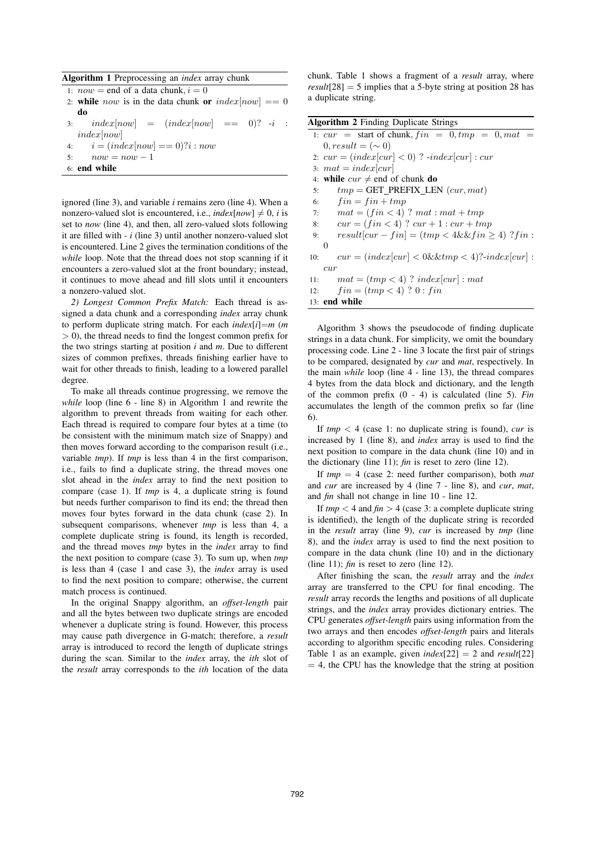Algorithm 1 Preprocessing an *index* array chunk

1:  $now = end of a data chunk, i = 0$ 

- 2: while now is in the data chunk or  $index[now] == 0$ do
- 3:  $index[now] = (index[now] == 0)$ ? -i : index[now]
- 4:  $i = (index[now] == 0)? i : now$
- 5:  $now = now 1$
- 6: end while

ignored (line 3), and variable *i* remains zero (line 4). When a nonzero-valued slot is encountered, i.e.,  $index[now] \neq 0$ , *i* is set to *now* (line 4), and then, all zero-valued slots following it are filled with *- i* (line 3) until another nonzero-valued slot is encountered. Line 2 gives the termination conditions of the *while* loop. Note that the thread does not stop scanning if it encounters a zero-valued slot at the front boundary; instead, it continues to move ahead and fill slots until it encounters a nonzero-valued slot.

*2) Longest Common Prefix Match:* Each thread is assigned a data chunk and a corresponding *index* array chunk to perform duplicate string match. For each *index*[*i*]=*m* (*m*  $> 0$ ), the thread needs to find the longest common prefix for the two strings starting at position *i* and *m*. Due to different sizes of common prefixes, threads finishing earlier have to wait for other threads to finish, leading to a lowered parallel degree.

To make all threads continue progressing, we remove the *while* loop (line 6 - line 8) in Algorithm 1 and rewrite the algorithm to prevent threads from waiting for each other. Each thread is required to compare four bytes at a time (to be consistent with the minimum match size of Snappy) and then moves forward according to the comparison result (i.e., variable *tmp*). If *tmp* is less than 4 in the first comparison, i.e., fails to find a duplicate string, the thread moves one slot ahead in the *index* array to find the next position to compare (case 1). If *tmp* is 4, a duplicate string is found but needs further comparison to find its end; the thread then moves four bytes forward in the data chunk (case 2). In subsequent comparisons, whenever *tmp* is less than 4, a complete duplicate string is found, its length is recorded, and the thread moves *tmp* bytes in the *index* array to find the next position to compare (case 3). To sum up, when *tmp* is less than 4 (case 1 and case 3), the *index* array is used to find the next position to compare; otherwise, the current match process is continued.

In the original Snappy algorithm, an *offset-length* pair and all the bytes between two duplicate strings are encoded whenever a duplicate string is found. However, this process may cause path divergence in G-match; therefore, a *result* array is introduced to record the length of duplicate strings during the scan. Similar to the *index* array, the *ith* slot of the *result* array corresponds to the *ith* location of the data chunk. Table 1 shows a fragment of a *result* array, where  $result[28] = 5$  implies that a 5-byte string at position 28 has a duplicate string.

| <b>Algorithm 2 Finding Duplicate Strings</b> |  |  |  |  |
|----------------------------------------------|--|--|--|--|
|----------------------------------------------|--|--|--|--|

- 1:  $cur = start$  of chunk,  $fin = 0, tmp = 0, mat$  $0, result = (\sim 0)$
- 2:  $cur = (index[cur] < 0)$  ?  $-index[cur]$  :  $cur$
- 3:  $mat = index[cur]$
- 4: while  $cur \neq$  end of chunk do
- 5:  $tmp = GET\_PREFIX\_LEN(cur, mat)$
- 6:  $fin = fin + tmp$
- 7:  $mat = (fin < 4)$  ?  $mat : mat + tmp$
- 8:  $cur = (fin < 4)$  ?  $cur + 1: cur + tmp$
- 9:  $result[cur-fin]=(tmp<4\&\&fin)\geq 4)$  ?  $fin$  :  $\Omega$
- 10:  $cur = (index[cur] < 0 \& \& tmp < 4)? \text{-}index[cur] :$ cur
- 11:  $mat = (tmp < 4)$  ?  $index[cur]$  : mat
- 12:  $fin = (tmp < 4) ? 0 : fin$

13: end while

Algorithm 3 shows the pseudocode of finding duplicate strings in a data chunk. For simplicity, we omit the boundary processing code. Line 2 - line 3 locate the first pair of strings to be compared, designated by *cur* and *mat*, respectively. In the main *while* loop (line 4 - line 13), the thread compares 4 bytes from the data block and dictionary, and the length of the common prefix (0 - 4) is calculated (line 5). *Fin* accumulates the length of the common prefix so far (line 6).

If *tmp* < 4 (case 1: no duplicate string is found), *cur* is increased by 1 (line 8), and *index* array is used to find the next position to compare in the data chunk (line 10) and in the dictionary (line 11); *fin* is reset to zero (line 12).

If *tmp* = 4 (case 2: need further comparison), both *mat* and *cur* are increased by 4 (line 7 - line 8), and *cur*, *mat*, and *fin* shall not change in line 10 - line 12.

If  $tmp < 4$  and  $fin > 4$  (case 3: a complete duplicate string is identified), the length of the duplicate string is recorded in the *result* array (line 9), *cur* is increased by *tmp* (line 8), and the *index* array is used to find the next position to compare in the data chunk (line 10) and in the dictionary (line 11); *fin* is reset to zero (line 12).

After finishing the scan, the *result* array and the *index* array are transferred to the CPU for final encoding. The *result* array records the lengths and positions of all duplicate strings, and the *index* array provides dictionary entries. The CPU generates *offset-length* pairs using information from the two arrays and then encodes *offset-length* pairs and literals according to algorithm specific encoding rules. Considering Table 1 as an example, given  $index[22] = 2$  and  $result[22]$  $= 4$ , the CPU has the knowledge that the string at position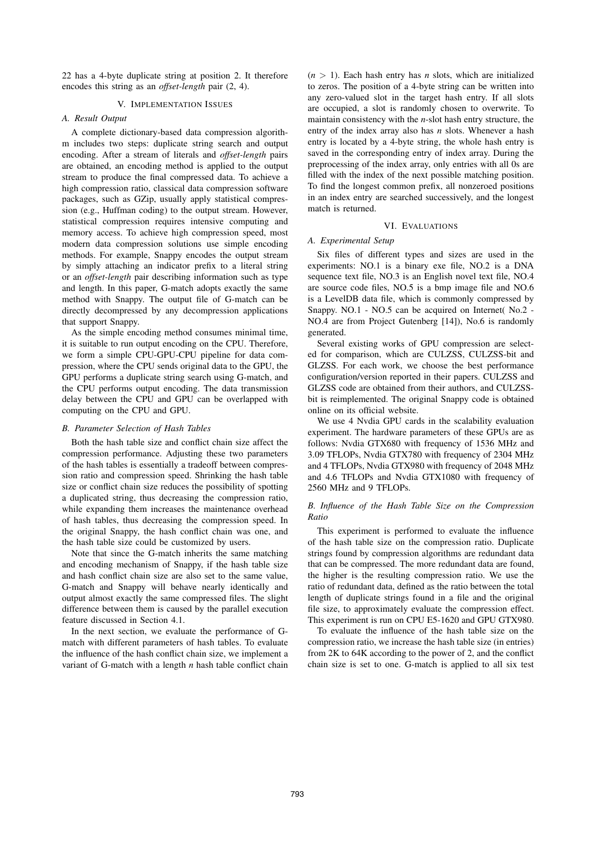22 has a 4-byte duplicate string at position 2. It therefore encodes this string as an *offset-length* pair (2, 4).

# V. IMPLEMENTATION ISSUES

# *A. Result Output*

A complete dictionary-based data compression algorithm includes two steps: duplicate string search and output encoding. After a stream of literals and *offset-length* pairs are obtained, an encoding method is applied to the output stream to produce the final compressed data. To achieve a high compression ratio, classical data compression software packages, such as GZip, usually apply statistical compression (e.g., Huffman coding) to the output stream. However, statistical compression requires intensive computing and memory access. To achieve high compression speed, most modern data compression solutions use simple encoding methods. For example, Snappy encodes the output stream by simply attaching an indicator prefix to a literal string or an *offset-length* pair describing information such as type and length. In this paper, G-match adopts exactly the same method with Snappy. The output file of G-match can be directly decompressed by any decompression applications that support Snappy.

As the simple encoding method consumes minimal time, it is suitable to run output encoding on the CPU. Therefore, we form a simple CPU-GPU-CPU pipeline for data compression, where the CPU sends original data to the GPU, the GPU performs a duplicate string search using G-match, and the CPU performs output encoding. The data transmission delay between the CPU and GPU can be overlapped with computing on the CPU and GPU.

### *B. Parameter Selection of Hash Tables*

Both the hash table size and conflict chain size affect the compression performance. Adjusting these two parameters of the hash tables is essentially a tradeoff between compression ratio and compression speed. Shrinking the hash table size or conflict chain size reduces the possibility of spotting a duplicated string, thus decreasing the compression ratio, while expanding them increases the maintenance overhead of hash tables, thus decreasing the compression speed. In the original Snappy, the hash conflict chain was one, and the hash table size could be customized by users.

Note that since the G-match inherits the same matching and encoding mechanism of Snappy, if the hash table size and hash conflict chain size are also set to the same value, G-match and Snappy will behave nearly identically and output almost exactly the same compressed files. The slight difference between them is caused by the parallel execution feature discussed in Section 4.1.

In the next section, we evaluate the performance of Gmatch with different parameters of hash tables. To evaluate the influence of the hash conflict chain size, we implement a variant of G-match with a length *n* hash table conflict chain  $(n > 1)$ . Each hash entry has *n* slots, which are initialized to zeros. The position of a 4-byte string can be written into any zero-valued slot in the target hash entry. If all slots are occupied, a slot is randomly chosen to overwrite. To maintain consistency with the *n*-slot hash entry structure, the entry of the index array also has *n* slots. Whenever a hash entry is located by a 4-byte string, the whole hash entry is saved in the corresponding entry of index array. During the preprocessing of the index array, only entries with all 0s are filled with the index of the next possible matching position. To find the longest common prefix, all nonzeroed positions in an index entry are searched successively, and the longest match is returned.

## VI. EVALUATIONS

## *A. Experimental Setup*

Six files of different types and sizes are used in the experiments: NO.1 is a binary exe file, NO.2 is a DNA sequence text file, NO.3 is an English novel text file, NO.4 are source code files, NO.5 is a bmp image file and NO.6 is a LevelDB data file, which is commonly compressed by Snappy. NO.1 - NO.5 can be acquired on Internet( No.2 - NO.4 are from Project Gutenberg [14]), No.6 is randomly generated.

Several existing works of GPU compression are selected for comparison, which are CULZSS, CULZSS-bit and GLZSS. For each work, we choose the best performance configuration/version reported in their papers. CULZSS and GLZSS code are obtained from their authors, and CULZSSbit is reimplemented. The original Snappy code is obtained online on its official website.

We use 4 Nvdia GPU cards in the scalability evaluation experiment. The hardware parameters of these GPUs are as follows: Nvdia GTX680 with frequency of 1536 MHz and 3.09 TFLOPs, Nvdia GTX780 with frequency of 2304 MHz and 4 TFLOPs, Nvdia GTX980 with frequency of 2048 MHz and 4.6 TFLOPs and Nvdia GTX1080 with frequency of 2560 MHz and 9 TFLOPs.

# *B. Influence of the Hash Table Size on the Compression Ratio*

This experiment is performed to evaluate the influence of the hash table size on the compression ratio. Duplicate strings found by compression algorithms are redundant data that can be compressed. The more redundant data are found, the higher is the resulting compression ratio. We use the ratio of redundant data, defined as the ratio between the total length of duplicate strings found in a file and the original file size, to approximately evaluate the compression effect. This experiment is run on CPU E5-1620 and GPU GTX980.

To evaluate the influence of the hash table size on the compression ratio, we increase the hash table size (in entries) from 2K to 64K according to the power of 2, and the conflict chain size is set to one. G-match is applied to all six test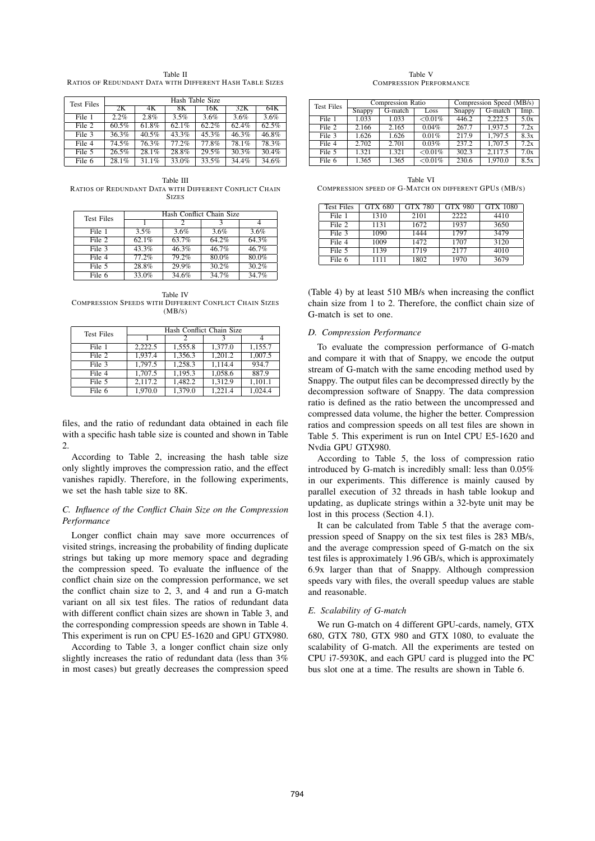Table II RATIOS OF REDUNDANT DATA WITH DIFFERENT HASH TABLE SIZES

| <b>Test Files</b> | Hash Table Size     |       |          |       |       |       |  |
|-------------------|---------------------|-------|----------|-------|-------|-------|--|
|                   | 2K                  | 4Κ    | 8Κ       | 16K   | 32K   | 64K   |  |
| File 1            | 2.2%                | 2.8%  | 3.5%     | 3.6%  | 3.6%  | 3.6%  |  |
| File 2            | 60.5%               | 61.8% | 62.1%    | 62.2% | 62.4% | 62.5% |  |
| File 3            | 36.3%               | 40.5% | $43.3\%$ | 45.3% | 46.3% | 46.8% |  |
| File 4            | 74.5%               | 76.3% | 77.2%    | 77.8% | 78.1% | 78.3% |  |
| File 5            | 26.5%               | 28.1% | 28.8%    | 29.5% | 30.3% | 30.4% |  |
| File 6            | $28.\overline{1\%}$ | 31.1% | $33.0\%$ | 33.5% | 34.4% | 34.6% |  |

Table III RATIOS OF REDUNDANT DATA WITH DIFFERENT CONFLICT CHAIN **SIZES** 

| <b>Test Files</b> | Hash Conflict Chain Size |       |          |       |  |  |
|-------------------|--------------------------|-------|----------|-------|--|--|
|                   |                          |       |          |       |  |  |
| File 1            | 3.5%                     | 3.6%  | 3.6%     | 3.6%  |  |  |
| File 2            | 62.1%                    | 63.7% | 64.2%    | 64.3% |  |  |
| File 3            | 43.3%                    | 46.3% | $46.7\%$ | 46.7% |  |  |
| File 4            | 77.2%                    | 79.2% | 80.0%    | 80.0% |  |  |
| File 5            | 28.8%                    | 29.9% | 30.2%    | 30.2% |  |  |
| File 6            | $33.\overline{0\%}$      | 34.6% | 34.7%    | 34.7% |  |  |

Table IV COMPRESSION SPEEDS WITH DIFFERENT CONFLICT CHAIN SIZES (MB/S)

| <b>Test Files</b> | Hash Conflict Chain Size |         |         |         |  |  |  |
|-------------------|--------------------------|---------|---------|---------|--|--|--|
|                   |                          |         |         |         |  |  |  |
| File 1            | 2.222.5                  | 1,555.8 | 1.377.0 | 1,155.7 |  |  |  |
| File 2            | 1.937.4                  | 1.356.3 | 1.201.2 | 1.007.5 |  |  |  |
| File 3            | 1.797.5                  | 1,258.3 | 1.114.4 | 934.7   |  |  |  |
| File 4            | 1.707.5                  | 1.195.3 | 1.058.6 | 887.9   |  |  |  |
| File 5            | 2,117.2                  | 1,482.2 | 1.312.9 | 1,101.1 |  |  |  |
| File 6            | 1,970.0                  | 1,379.0 | 1.221.4 | 1.024.4 |  |  |  |

files, and the ratio of redundant data obtained in each file with a specific hash table size is counted and shown in Table  $\mathcal{L}$ 

According to Table 2, increasing the hash table size only slightly improves the compression ratio, and the effect vanishes rapidly. Therefore, in the following experiments, we set the hash table size to 8K.

# *C. Influence of the Conflict Chain Size on the Compression Performance*

Longer conflict chain may save more occurrences of visited strings, increasing the probability of finding duplicate strings but taking up more memory space and degrading the compression speed. To evaluate the influence of the conflict chain size on the compression performance, we set the conflict chain size to 2, 3, and 4 and run a G-match variant on all six test files. The ratios of redundant data with different conflict chain sizes are shown in Table 3, and the corresponding compression speeds are shown in Table 4. This experiment is run on CPU E5-1620 and GPU GTX980.

According to Table 3, a longer conflict chain size only slightly increases the ratio of redundant data (less than 3% in most cases) but greatly decreases the compression speed

Table V COMPRESSION PERFORMANCE

| <b>Test Files</b> |        | Compression Ratio |            | Compression Speed (MB/s) |         |      |
|-------------------|--------|-------------------|------------|--------------------------|---------|------|
|                   | Snappy | G-match           | Loss       | Snappy                   | G-match | Imp. |
| File 1            | 1.033  | 1.033             | ${<}0.01%$ | 446.2                    | 2.222.5 | 5.0x |
| File 2            | 2.166  | 2.165             | 0.04%      | 267.7                    | 1.937.5 | 7.2x |
| File 3            | 1.626  | 1.626             | 0.01%      | 217.9                    | 1.797.5 | 8.3x |
| File 4            | 2.702  | 2.701             | 0.03%      | 237.2                    | 1.707.5 | 7.2x |
| File 5            | 1.321  | 1.321             | ${<}0.01%$ | 302.3                    | 2.117.5 | 7.0x |
| File 6            | 1.365  | 1.365             | ${<}0.01%$ | 230.6                    | 1.970.0 | 8.5x |

Table VI COMPRESSION SPEED OF G-MATCH ON DIFFERENT GPUS (MB/S)

| <b>Test Files</b> | <b>GTX 680</b> | <b>GTX 780</b> | <b>GTX 980</b> | <b>GTX 1080</b> |
|-------------------|----------------|----------------|----------------|-----------------|
| File 1            | 1310           | 2101           | 2222           | 4410            |
| File 2            | 1131           | 1672           | 1937           | 3650            |
| File 3            | 1090           | 1444           | 1797           | 3479            |
| File 4            | 1009           | 1472           | 1707           | 3120            |
| File 5            | 1139           | 1719           | 2177           | 4010            |
| File 6            | 1111           | 1802           | 1970           | 3679            |

(Table 4) by at least 510 MB/s when increasing the conflict chain size from 1 to 2. Therefore, the conflict chain size of G-match is set to one.

# *D. Compression Performance*

To evaluate the compression performance of G-match and compare it with that of Snappy, we encode the output stream of G-match with the same encoding method used by Snappy. The output files can be decompressed directly by the decompression software of Snappy. The data compression ratio is defined as the ratio between the uncompressed and compressed data volume, the higher the better. Compression ratios and compression speeds on all test files are shown in Table 5. This experiment is run on Intel CPU E5-1620 and Nvdia GPU GTX980.

According to Table 5, the loss of compression ratio introduced by G-match is incredibly small: less than 0.05% in our experiments. This difference is mainly caused by parallel execution of 32 threads in hash table lookup and updating, as duplicate strings within a 32-byte unit may be lost in this process (Section 4.1).

It can be calculated from Table 5 that the average compression speed of Snappy on the six test files is 283 MB/s, and the average compression speed of G-match on the six test files is approximately 1.96 GB/s, which is approximately 6.9x larger than that of Snappy. Although compression speeds vary with files, the overall speedup values are stable and reasonable.

### *E. Scalability of G-match*

We run G-match on 4 different GPU-cards, namely, GTX 680, GTX 780, GTX 980 and GTX 1080, to evaluate the scalability of G-match. All the experiments are tested on CPU i7-5930K, and each GPU card is plugged into the PC bus slot one at a time. The results are shown in Table 6.